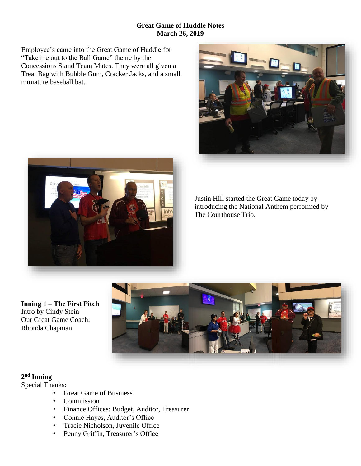#### **Great Game of Huddle Notes March 26, 2019**

Employee's came into the Great Game of Huddle for "Take me out to the Ball Game" theme by the Concessions Stand Team Mates. They were all given a Treat Bag with Bubble Gum, Cracker Jacks, and a small miniature baseball bat.





Justin Hill started the Great Game today by introducing the National Anthem performed by The Courthouse Trio.

**Inning 1 – The First Pitch** Intro by Cindy Stein Our Great Game Coach: Rhonda Chapman



## **2 nd Inning**

Special Thanks:

- Great Game of Business
- Commission
- Finance Offices: Budget, Auditor, Treasurer
- Connie Hayes, Auditor's Office
- Tracie Nicholson, Juvenile Office
- Penny Griffin, Treasurer's Office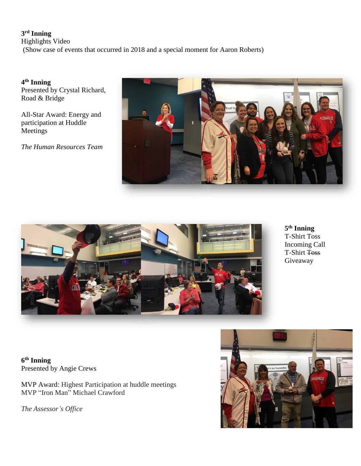#### **3 rd Inning**

Highlights Video (Show case of events that occurred in 2018 and a special moment for Aaron Roberts)

**4 th Inning**  Presented by Crystal Richard, Road & Bridge

All-Star Award: Energy and participation at Huddle **Meetings** 

*The Human Resources Team* 





**5 th Inning** T-Shirt Toss Incoming Call T-Shirt Toss Giveaway

**6 th Inning** Presented by Angie Crews

MVP Award: Highest Participation at huddle meetings MVP "Iron Man" Michael Crawford

*The Assessor's Office*